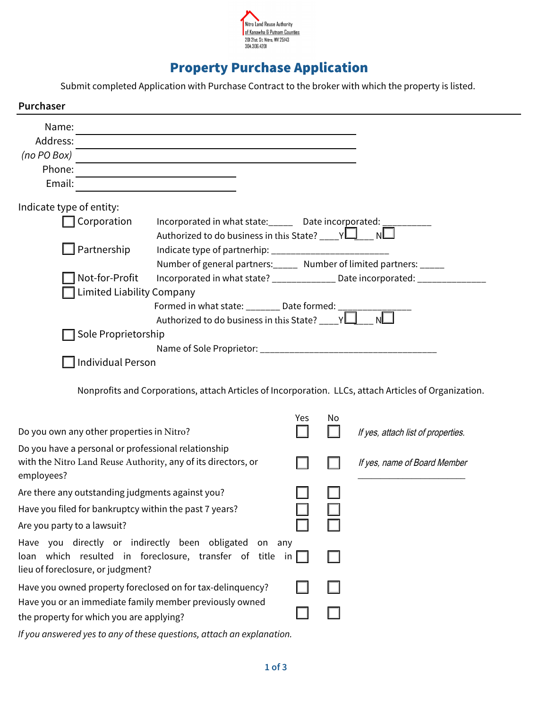

# Property Purchase Application

Submit completed Application with Purchase Contract to the broker with which the property is listed.

| Purchaser                                                                                                                                                 |                                                                                                       |     |    |                                    |
|-----------------------------------------------------------------------------------------------------------------------------------------------------------|-------------------------------------------------------------------------------------------------------|-----|----|------------------------------------|
| Name:                                                                                                                                                     |                                                                                                       |     |    |                                    |
| Address:                                                                                                                                                  |                                                                                                       |     |    |                                    |
| (no PO Box)                                                                                                                                               |                                                                                                       |     |    |                                    |
| Phone:                                                                                                                                                    |                                                                                                       |     |    |                                    |
| Email:                                                                                                                                                    |                                                                                                       |     |    |                                    |
| Indicate type of entity:                                                                                                                                  |                                                                                                       |     |    |                                    |
| Corporation                                                                                                                                               | Incorporated in what state:______ Date incorporated:                                                  |     |    |                                    |
|                                                                                                                                                           | Authorized to do business in this State? ____ $YL$ ____ NL                                            |     |    |                                    |
| Partnership                                                                                                                                               |                                                                                                       |     |    |                                    |
|                                                                                                                                                           | Number of general partners: _____ Number of limited partners: _____                                   |     |    |                                    |
| Not-for-Profit<br>Incorporated in what state? _____________ Date incorporated: _______                                                                    |                                                                                                       |     |    |                                    |
| <b>Limited Liability Company</b>                                                                                                                          |                                                                                                       |     |    |                                    |
|                                                                                                                                                           | Formed in what state: ________ Date formed: _____                                                     |     |    |                                    |
|                                                                                                                                                           | Authorized to do business in this State? ____ $\sqrt{\Box}$                                           |     |    |                                    |
| Sole Proprietorship                                                                                                                                       |                                                                                                       |     |    |                                    |
|                                                                                                                                                           |                                                                                                       |     |    |                                    |
| <b>Individual Person</b>                                                                                                                                  |                                                                                                       |     |    |                                    |
|                                                                                                                                                           | Nonprofits and Corporations, attach Articles of Incorporation. LLCs, attach Articles of Organization. |     |    |                                    |
| Do you own any other properties in Nitro?                                                                                                                 |                                                                                                       | Yes | No | If yes, attach list of properties. |
| Do you have a personal or professional relationship<br>with the Nitro Land Reuse Authority, any of its directors, or<br>employees?                        |                                                                                                       |     |    | If yes, name of Board Member       |
| Are there any outstanding judgments against you?                                                                                                          |                                                                                                       |     |    |                                    |
| Have you filed for bankruptcy within the past 7 years?                                                                                                    |                                                                                                       |     |    |                                    |
| Are you party to a lawsuit?                                                                                                                               |                                                                                                       |     |    |                                    |
| Have you directly or indirectly been obligated<br>on any<br>loan which resulted in foreclosure, transfer of title in<br>lieu of foreclosure, or judgment? |                                                                                                       |     |    |                                    |
| Have you owned property foreclosed on for tax-delinquency?                                                                                                |                                                                                                       |     |    |                                    |
| Have you or an immediate family member previously owned                                                                                                   |                                                                                                       |     |    |                                    |
| the property for which you are applying?                                                                                                                  |                                                                                                       |     |    |                                    |
|                                                                                                                                                           | If you answered yes to any of these questions, attach an explanation.                                 |     |    |                                    |

**1 of 3**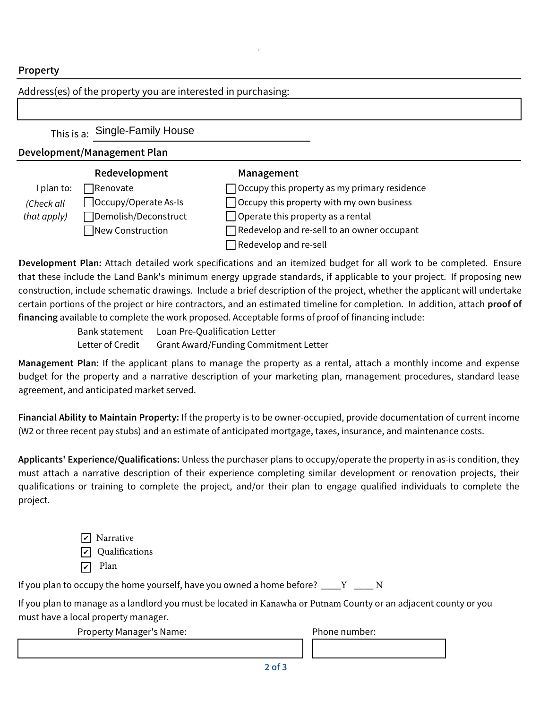## **Property**

#### Address(es) of the property you are interested in purchasing: This is a: Single-Family House **Development/Management Plan Redevelopment** I plan to:  $\Box$  Renovate Occupy/Operate As-Is Demolish/Deconstruct ■New Construction **Management**  $\Box$  Occupy this property as my primary residence  $\Box$  Occupy this property with my own business  $\Box$  Operate this property as a rental Redevelop and re-sell to an owner occupant  $\Box$  Redevelop and re-sell (Check all that apply)

**Development Plan:** Attach detailed work specifications and an itemized budget for all work to be completed. Ensure that these include the Land Bank's minimum energy upgrade standards, if applicable to your project. If proposing new construction, include schematic drawings. Include a brief description of the project, whether the applicant will undertake certain portions of the project or hire contractors, and an estimated timeline for completion. In addition, attach **proof of financing** available to complete the work proposed. Acceptable forms of proof of financing include:

Bank statement Loan Pre-Qualification Letter Letter of Credit Grant Award/Funding Commitment Letter

**Management Plan:** If the applicant plans to manage the property as a rental, attach a monthly income and expense budget for the property and a narrative description of your marketing plan, management procedures, standard lease agreement, and anticipated market served.

**Financial Ability to Maintain Property:** If the property is to be owner-occupied, provide documentation of current income (W2 or three recent pay stubs) and an estimate of anticipated mortgage, taxes, insurance, and maintenance costs.

**Applicants' Experience/Qualifications:** Unless the purchaser plans to occupy/operate the property in as-is condition, they must attach a narrative description of their experience completing similar development or renovation projects, their qualifications or training to complete the project, and/or their plan to engage qualified individuals to complete the project.

> $\vee$  Narrative ✔ Qualifications  $\nabla$  Plan

If you plan to occupy the home yourself, have you owned a home before?  $\underline{\hspace{1cm}} Y$   $\underline{\hspace{1cm}} N$ 

If you plan to manage as a landlord you must be located in Kanawha or Putnam County or an adjacent county or you must have a local property manager.

Property Manager's Name: Phone number: